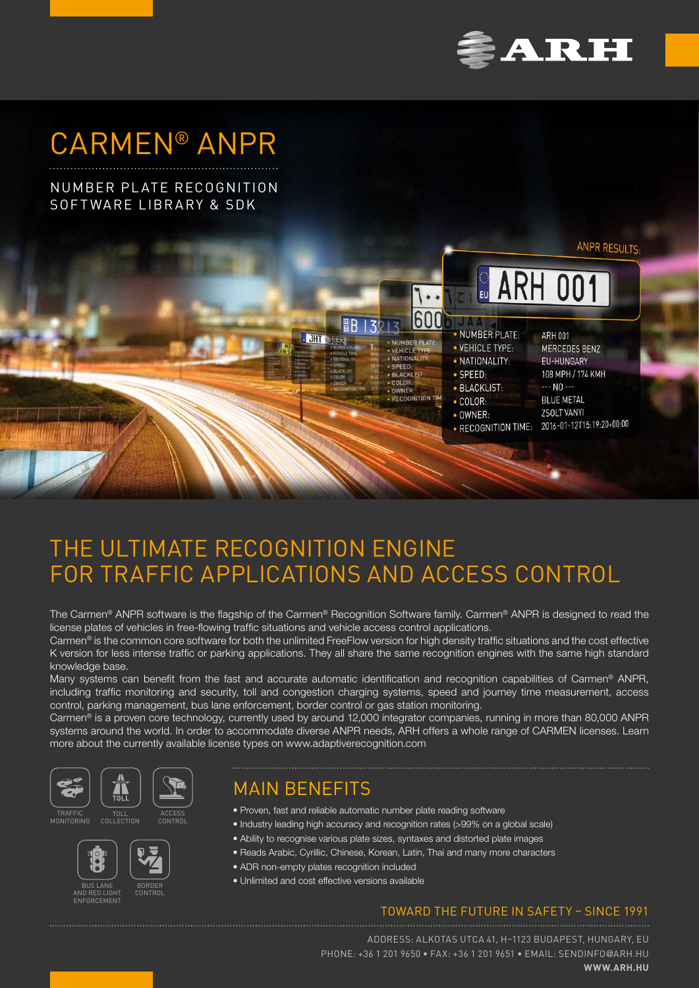

# CARMEN® ANPR

## NUMBER PLATE RECOGNITION SOFTWARE LIBRARY & SDK



## THE ULTIMATE RECOGNITION ENGINE FOR TRAFFIC APPLICATIONS AND ACCESS CONTROL

The Carmen® ANPR software is the flagship of the Carmen® Recognition Software family. Carmen® ANPR is designed to read the license plates of vehicles in free-flowing traffic situations and vehicle access control applications.

Carmen® is the common core software for both the unlimited FreeFlow version for high density traffic situations and the cost effective K version for less intense traffic or parking applications. They all share the same recognition engines with the same high standard knowledge base.

Many systems can benefit from the fast and accurate automatic identification and recognition capabilities of Carmen<sup>®</sup> ANPR, including traffic monitoring and security, toll and congestion charging systems, speed and journey time measurement, access control, parking management, bus lane enforcement, border control or gas station monitoring.

Carmen® is a proven core technology, currently used by around 12,000 integrator companies, running in more than 80,000 ANPR systems around the world. In order to accommodate diverse ANPR needs, ARH offers a whole range of CARMEN licenses. Learn more about the currently available license types on www.adaptiverecognition.com



**TRAFF** MONITORING





## MAIN BENEFITS

- Proven, fast and reliable automatic number plate reading software
- Industry leading high accuracy and recognition rates (>99% on a global scale)
- Ability to recognise various plate sizes, syntaxes and distorted plate images
- Reads Arabic, Cyrillic, Chinese, Korean, Latin, Thai and many more characters
- ADR non-empty plates recognition included
- Unlimited and cost effective versions available

### TOWARD THE FUTURE IN SAFETY – SINCE 1991

ADDRESS: ALKOTAS UTCA 41, H–1123 BUDAPEST, HUNGARY, EU PHONE: +36 1 201 9650 • FAX: +36 1 201 9651 • EMAIL: [SENDINFO](mailto:sendinfo%40arh.hu%20?subject=)@ARH.HU **[WWW.ARH.HU](https://www.arh.hu)**